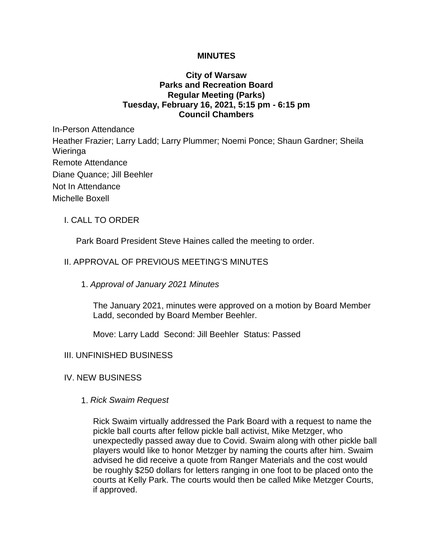### **MINUTES**

## **City of Warsaw Parks and Recreation Board Regular Meeting (Parks) Tuesday, February 16, 2021, 5:15 pm - 6:15 pm Council Chambers**

In-Person Attendance Heather Frazier; Larry Ladd; Larry Plummer; Noemi Ponce; Shaun Gardner; Sheila Wieringa Remote Attendance Diane Quance; Jill Beehler Not In Attendance Michelle Boxell

## I. CALL TO ORDER

Park Board President Steve Haines called the meeting to order.

# II. APPROVAL OF PREVIOUS MEETING'S MINUTES

#### 1. *Approval of January 2021 Minutes*

The January 2021, minutes were approved on a motion by Board Member Ladd, seconded by Board Member Beehler.

Move: Larry Ladd Second: Jill Beehler Status: Passed

#### III. UNFINISHED BUSINESS

#### IV. NEW BUSINESS

#### 1. *Rick Swaim Request*

Rick Swaim virtually addressed the Park Board with a request to name the pickle ball courts after fellow pickle ball activist, Mike Metzger, who unexpectedly passed away due to Covid. Swaim along with other pickle ball players would like to honor Metzger by naming the courts after him. Swaim advised he did receive a quote from Ranger Materials and the cost would be roughly \$250 dollars for letters ranging in one foot to be placed onto the courts at Kelly Park. The courts would then be called Mike Metzger Courts, if approved.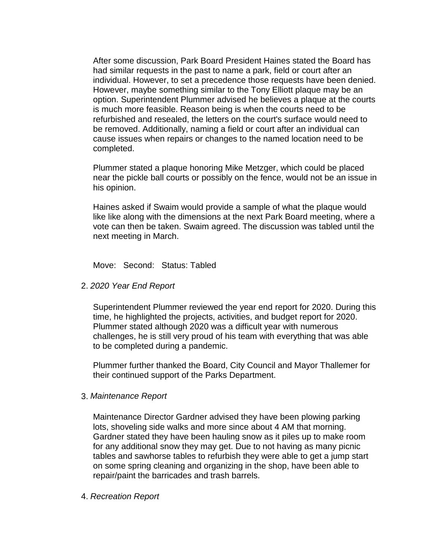After some discussion, Park Board President Haines stated the Board has had similar requests in the past to name a park, field or court after an individual. However, to set a precedence those requests have been denied. However, maybe something similar to the Tony Elliott plaque may be an option. Superintendent Plummer advised he believes a plaque at the courts is much more feasible. Reason being is when the courts need to be refurbished and resealed, the letters on the court's surface would need to be removed. Additionally, naming a field or court after an individual can cause issues when repairs or changes to the named location need to be completed.

Plummer stated a plaque honoring Mike Metzger, which could be placed near the pickle ball courts or possibly on the fence, would not be an issue in his opinion.

Haines asked if Swaim would provide a sample of what the plaque would like like along with the dimensions at the next Park Board meeting, where a vote can then be taken. Swaim agreed. The discussion was tabled until the next meeting in March.

Move: Second: Status: Tabled

2. *2020 Year End Report*

Superintendent Plummer reviewed the year end report for 2020. During this time, he highlighted the projects, activities, and budget report for 2020. Plummer stated although 2020 was a difficult year with numerous challenges, he is still very proud of his team with everything that was able to be completed during a pandemic.

Plummer further thanked the Board, City Council and Mayor Thallemer for their continued support of the Parks Department.

3. *Maintenance Report*

Maintenance Director Gardner advised they have been plowing parking lots, shoveling side walks and more since about 4 AM that morning. Gardner stated they have been hauling snow as it piles up to make room for any additional snow they may get. Due to not having as many picnic tables and sawhorse tables to refurbish they were able to get a jump start on some spring cleaning and organizing in the shop, have been able to repair/paint the barricades and trash barrels.

4. *Recreation Report*